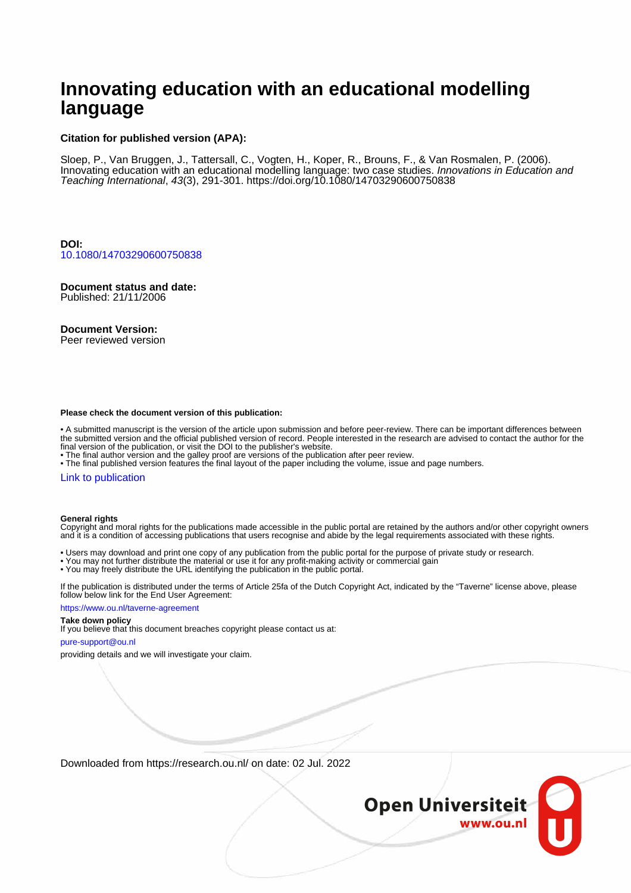# **Innovating education with an educational modelling language**

#### **Citation for published version (APA):**

Sloep, P., Van Bruggen, J., Tattersall, C., Vogten, H., Koper, R., Brouns, F., & Van Rosmalen, P. (2006). Innovating education with an educational modelling language: two case studies. Innovations in Education and Teaching International, 43(3), 291-301. <https://doi.org/10.1080/14703290600750838>

**DOI:** [10.1080/14703290600750838](https://doi.org/10.1080/14703290600750838)

**Document status and date:** Published: 21/11/2006

**Document Version:**

Peer reviewed version

#### **Please check the document version of this publication:**

• A submitted manuscript is the version of the article upon submission and before peer-review. There can be important differences between the submitted version and the official published version of record. People interested in the research are advised to contact the author for the final version of the publication, or visit the DOI to the publisher's website.

• The final author version and the galley proof are versions of the publication after peer review.

• The final published version features the final layout of the paper including the volume, issue and page numbers.

#### [Link to publication](https://research.ou.nl/en/publications/2eb4b74a-0824-4f3d-b231-96293b2768ff)

#### **General rights**

Copyright and moral rights for the publications made accessible in the public portal are retained by the authors and/or other copyright owners and it is a condition of accessing publications that users recognise and abide by the legal requirements associated with these rights.

- Users may download and print one copy of any publication from the public portal for the purpose of private study or research.
- You may not further distribute the material or use it for any profit-making activity or commercial gain
- You may freely distribute the URL identifying the publication in the public portal.

If the publication is distributed under the terms of Article 25fa of the Dutch Copyright Act, indicated by the "Taverne" license above, please follow below link for the End User Agreement:

#### https://www.ou.nl/taverne-agreement

#### **Take down policy**

If you believe that this document breaches copyright please contact us at:

#### pure-support@ou.nl

providing details and we will investigate your claim.

Downloaded from https://research.ou.nl/ on date: 02 Jul. 2022

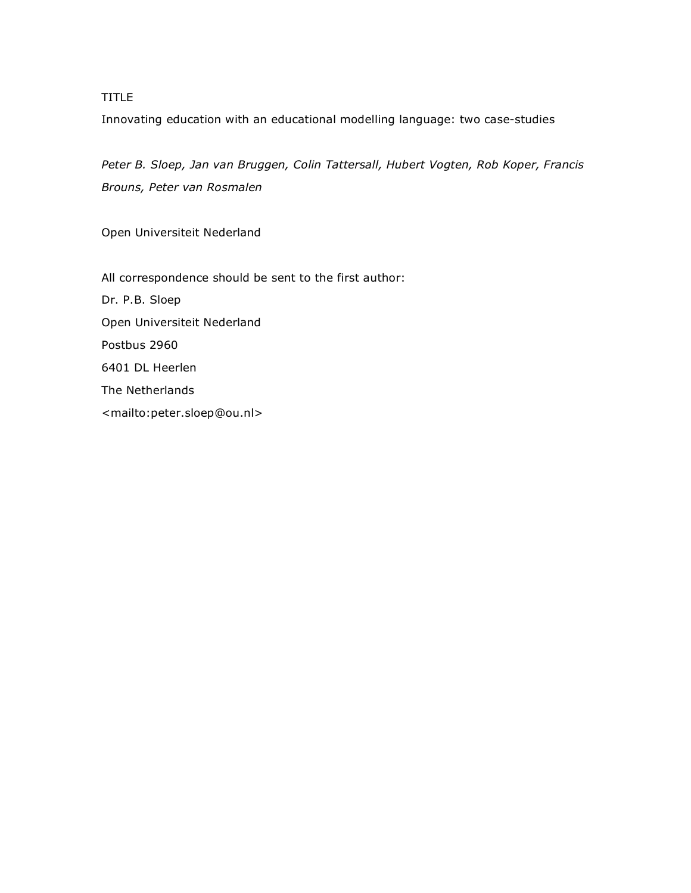TITLE

Innovating education with an educational modelling language: two case-studies

*Peter B. Sloep, Jan van Bruggen, Colin Tattersall, Hubert Vogten, Rob Koper, Francis Brouns, Peter van Rosmalen*

Open Universiteit Nederland

All correspondence should be sent to the first author: Dr. P.B. Sloep Open Universiteit Nederland Postbus 2960 6401 DL Heerlen The Netherlands <mailto:peter.sloep@ou.nl>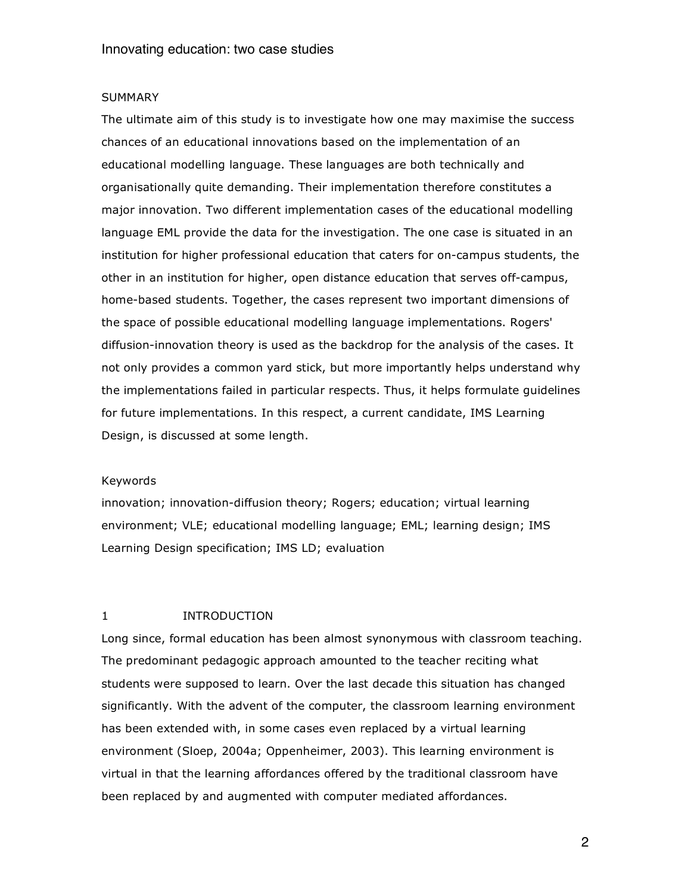#### SUMMARY

The ultimate aim of this study is to investigate how one may maximise the success chances of an educational innovations based on the implementation of an educational modelling language. These languages are both technically and organisationally quite demanding. Their implementation therefore constitutes a major innovation. Two different implementation cases of the educational modelling language EML provide the data for the investigation. The one case is situated in an institution for higher professional education that caters for on-campus students, the other in an institution for higher, open distance education that serves off-campus, home-based students. Together, the cases represent two important dimensions of the space of possible educational modelling language implementations. Rogers' diffusion-innovation theory is used as the backdrop for the analysis of the cases. It not only provides a common yard stick, but more importantly helps understand why the implementations failed in particular respects. Thus, it helps formulate guidelines for future implementations. In this respect, a current candidate, IMS Learning Design, is discussed at some length.

#### Keywords

innovation; innovation-diffusion theory; Rogers; education; virtual learning environment; VLE; educational modelling language; EML; learning design; IMS Learning Design specification; IMS LD; evaluation

### 1 INTRODUCTION

Long since, formal education has been almost synonymous with classroom teaching. The predominant pedagogic approach amounted to the teacher reciting what students were supposed to learn. Over the last decade this situation has changed significantly. With the advent of the computer, the classroom learning environment has been extended with, in some cases even replaced by a virtual learning environment (Sloep, 2004a; Oppenheimer, 2003). This learning environment is virtual in that the learning affordances offered by the traditional classroom have been replaced by and augmented with computer mediated affordances.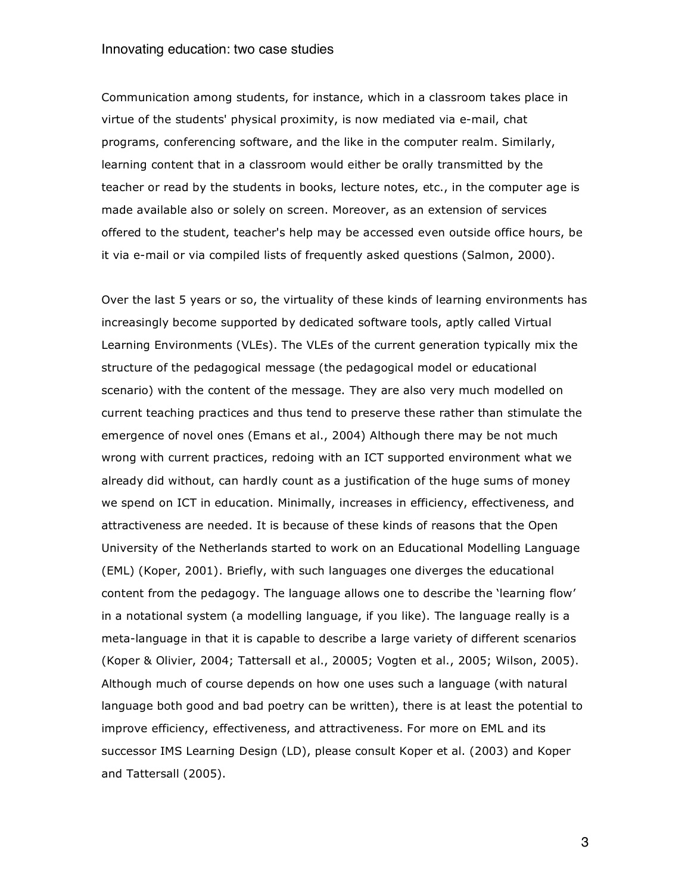Communication among students, for instance, which in a classroom takes place in virtue of the students' physical proximity, is now mediated via e-mail, chat programs, conferencing software, and the like in the computer realm. Similarly, learning content that in a classroom would either be orally transmitted by the teacher or read by the students in books, lecture notes, etc., in the computer age is made available also or solely on screen. Moreover, as an extension of services offered to the student, teacher's help may be accessed even outside office hours, be it via e-mail or via compiled lists of frequently asked questions (Salmon, 2000).

Over the last 5 years or so, the virtuality of these kinds of learning environments has increasingly become supported by dedicated software tools, aptly called Virtual Learning Environments (VLEs). The VLEs of the current generation typically mix the structure of the pedagogical message (the pedagogical model or educational scenario) with the content of the message. They are also very much modelled on current teaching practices and thus tend to preserve these rather than stimulate the emergence of novel ones (Emans et al., 2004) Although there may be not much wrong with current practices, redoing with an ICT supported environment what we already did without, can hardly count as a justification of the huge sums of money we spend on ICT in education. Minimally, increases in efficiency, effectiveness, and attractiveness are needed. It is because of these kinds of reasons that the Open University of the Netherlands started to work on an Educational Modelling Language (EML) (Koper, 2001). Briefly, with such languages one diverges the educational content from the pedagogy. The language allows one to describe the 'learning flow' in a notational system (a modelling language, if you like). The language really is a meta-language in that it is capable to describe a large variety of different scenarios (Koper & Olivier, 2004; Tattersall et al., 20005; Vogten et al., 2005; Wilson, 2005). Although much of course depends on how one uses such a language (with natural language both good and bad poetry can be written), there is at least the potential to improve efficiency, effectiveness, and attractiveness. For more on EML and its successor IMS Learning Design (LD), please consult Koper et al. (2003) and Koper and Tattersall (2005).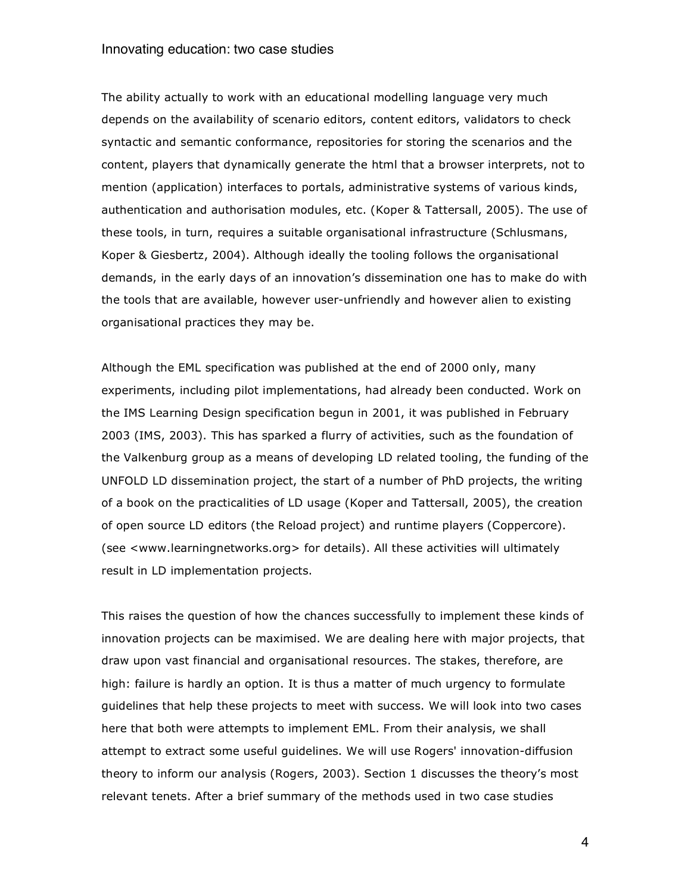The ability actually to work with an educational modelling language very much depends on the availability of scenario editors, content editors, validators to check syntactic and semantic conformance, repositories for storing the scenarios and the content, players that dynamically generate the html that a browser interprets, not to mention (application) interfaces to portals, administrative systems of various kinds, authentication and authorisation modules, etc. (Koper & Tattersall, 2005). The use of these tools, in turn, requires a suitable organisational infrastructure (Schlusmans, Koper & Giesbertz, 2004). Although ideally the tooling follows the organisational demands, in the early days of an innovation's dissemination one has to make do with the tools that are available, however user-unfriendly and however alien to existing organisational practices they may be.

Although the EML specification was published at the end of 2000 only, many experiments, including pilot implementations, had already been conducted. Work on the IMS Learning Design specification begun in 2001, it was published in February 2003 (IMS, 2003). This has sparked a flurry of activities, such as the foundation of the Valkenburg group as a means of developing LD related tooling, the funding of the UNFOLD LD dissemination project, the start of a number of PhD projects, the writing of a book on the practicalities of LD usage (Koper and Tattersall, 2005), the creation of open source LD editors (the Reload project) and runtime players (Coppercore). (see <www.learningnetworks.org> for details). All these activities will ultimately result in LD implementation projects.

This raises the question of how the chances successfully to implement these kinds of innovation projects can be maximised. We are dealing here with major projects, that draw upon vast financial and organisational resources. The stakes, therefore, are high: failure is hardly an option. It is thus a matter of much urgency to formulate guidelines that help these projects to meet with success. We will look into two cases here that both were attempts to implement EML. From their analysis, we shall attempt to extract some useful guidelines. We will use Rogers' innovation-diffusion theory to inform our analysis (Rogers, 2003). Section 1 discusses the theory's most relevant tenets. After a brief summary of the methods used in two case studies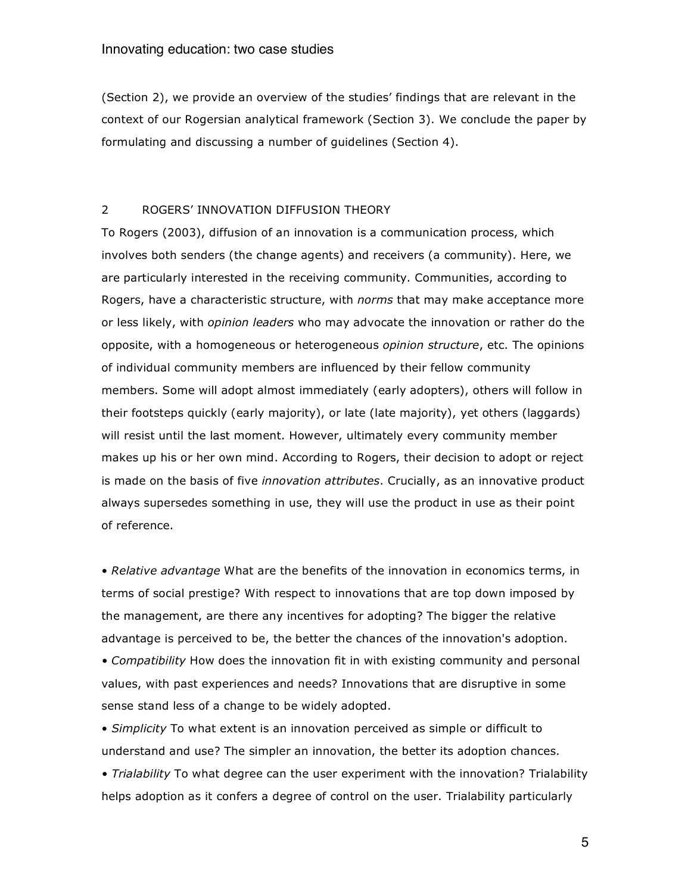(Section 2), we provide an overview of the studies' findings that are relevant in the context of our Rogersian analytical framework (Section 3). We conclude the paper by formulating and discussing a number of guidelines (Section 4).

# 2 ROGERS' INNOVATION DIFFUSION THEORY

To Rogers (2003), diffusion of an innovation is a communication process, which involves both senders (the change agents) and receivers (a community). Here, we are particularly interested in the receiving community. Communities, according to Rogers, have a characteristic structure, with *norms* that may make acceptance more or less likely, with *opinion leaders* who may advocate the innovation or rather do the opposite, with a homogeneous or heterogeneous *opinion structure*, etc. The opinions of individual community members are influenced by their fellow community members. Some will adopt almost immediately (early adopters), others will follow in their footsteps quickly (early majority), or late (late majority), yet others (laggards) will resist until the last moment. However, ultimately every community member makes up his or her own mind. According to Rogers, their decision to adopt or reject is made on the basis of five *innovation attributes*. Crucially, as an innovative product always supersedes something in use, they will use the product in use as their point of reference.

• *Relative advantage* What are the benefits of the innovation in economics terms, in terms of social prestige? With respect to innovations that are top down imposed by the management, are there any incentives for adopting? The bigger the relative advantage is perceived to be, the better the chances of the innovation's adoption.

*• Compatibility* How does the innovation fit in with existing community and personal values, with past experiences and needs? Innovations that are disruptive in some sense stand less of a change to be widely adopted.

• *Simplicity* To what extent is an innovation perceived as simple or difficult to understand and use? The simpler an innovation, the better its adoption chances.

*• Trialability* To what degree can the user experiment with the innovation? Trialability helps adoption as it confers a degree of control on the user. Trialability particularly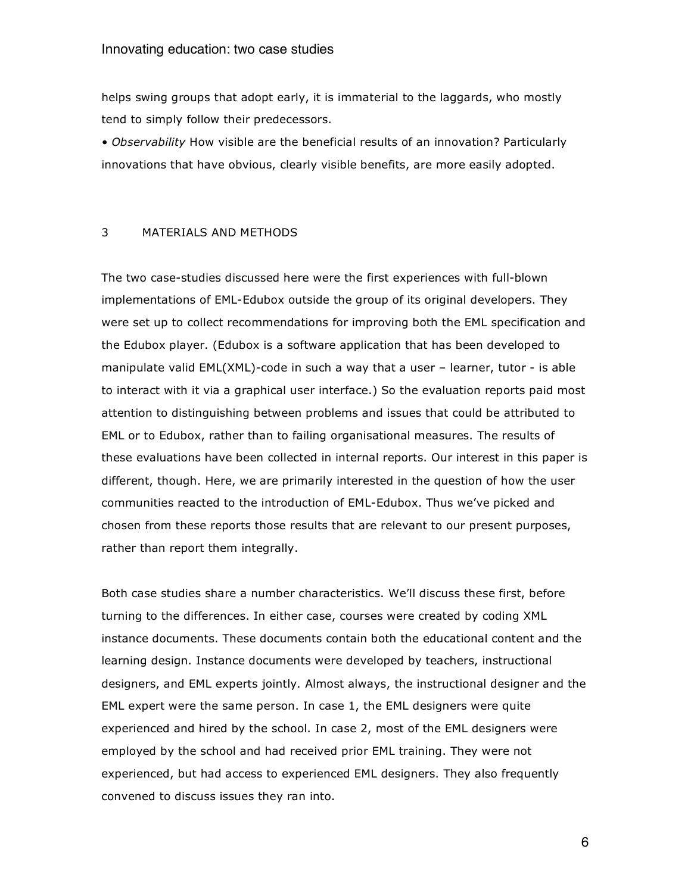helps swing groups that adopt early, it is immaterial to the laggards, who mostly tend to simply follow their predecessors.

*• Observability* How visible are the beneficial results of an innovation? Particularly innovations that have obvious, clearly visible benefits, are more easily adopted.

#### 3 MATERIALS AND METHODS

The two case-studies discussed here were the first experiences with full-blown implementations of EML-Edubox outside the group of its original developers. They were set up to collect recommendations for improving both the EML specification and the Edubox player. (Edubox is a software application that has been developed to manipulate valid EML(XML)-code in such a way that a user – learner, tutor - is able to interact with it via a graphical user interface.) So the evaluation reports paid most attention to distinguishing between problems and issues that could be attributed to EML or to Edubox, rather than to failing organisational measures. The results of these evaluations have been collected in internal reports. Our interest in this paper is different, though. Here, we are primarily interested in the question of how the user communities reacted to the introduction of EML-Edubox. Thus we've picked and chosen from these reports those results that are relevant to our present purposes, rather than report them integrally.

Both case studies share a number characteristics. We'll discuss these first, before turning to the differences. In either case, courses were created by coding XML instance documents. These documents contain both the educational content and the learning design. Instance documents were developed by teachers, instructional designers, and EML experts jointly. Almost always, the instructional designer and the EML expert were the same person. In case 1, the EML designers were quite experienced and hired by the school. In case 2, most of the EML designers were employed by the school and had received prior EML training. They were not experienced, but had access to experienced EML designers. They also frequently convened to discuss issues they ran into.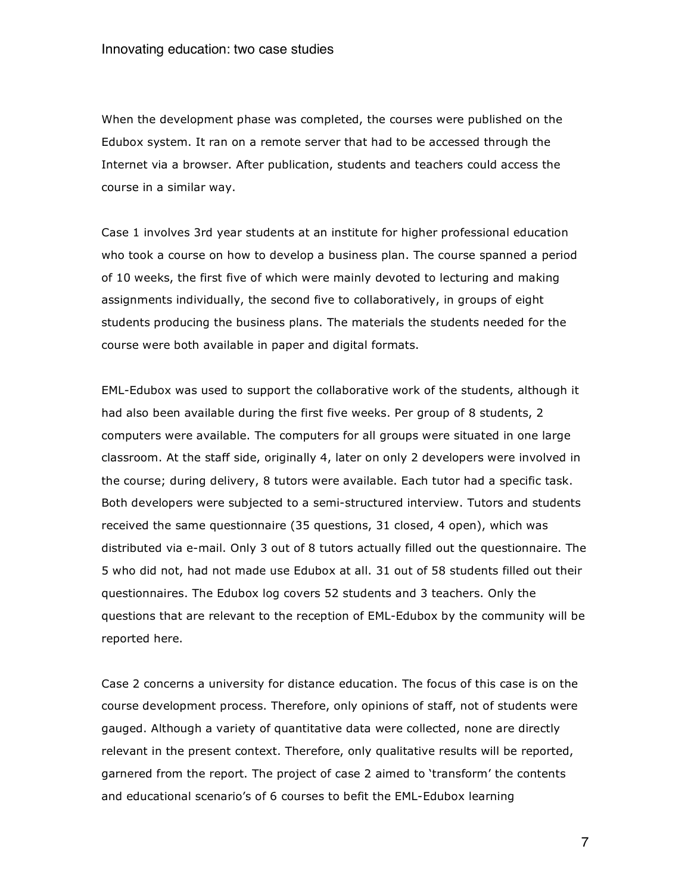When the development phase was completed, the courses were published on the Edubox system. It ran on a remote server that had to be accessed through the Internet via a browser. After publication, students and teachers could access the course in a similar way.

Case 1 involves 3rd year students at an institute for higher professional education who took a course on how to develop a business plan. The course spanned a period of 10 weeks, the first five of which were mainly devoted to lecturing and making assignments individually, the second five to collaboratively, in groups of eight students producing the business plans. The materials the students needed for the course were both available in paper and digital formats.

EML-Edubox was used to support the collaborative work of the students, although it had also been available during the first five weeks. Per group of 8 students, 2 computers were available. The computers for all groups were situated in one large classroom. At the staff side, originally 4, later on only 2 developers were involved in the course; during delivery, 8 tutors were available. Each tutor had a specific task. Both developers were subjected to a semi-structured interview. Tutors and students received the same questionnaire (35 questions, 31 closed, 4 open), which was distributed via e-mail. Only 3 out of 8 tutors actually filled out the questionnaire. The 5 who did not, had not made use Edubox at all. 31 out of 58 students filled out their questionnaires. The Edubox log covers 52 students and 3 teachers. Only the questions that are relevant to the reception of EML-Edubox by the community will be reported here.

Case 2 concerns a university for distance education. The focus of this case is on the course development process. Therefore, only opinions of staff, not of students were gauged. Although a variety of quantitative data were collected, none are directly relevant in the present context. Therefore, only qualitative results will be reported, garnered from the report. The project of case 2 aimed to 'transform' the contents and educational scenario's of 6 courses to befit the EML-Edubox learning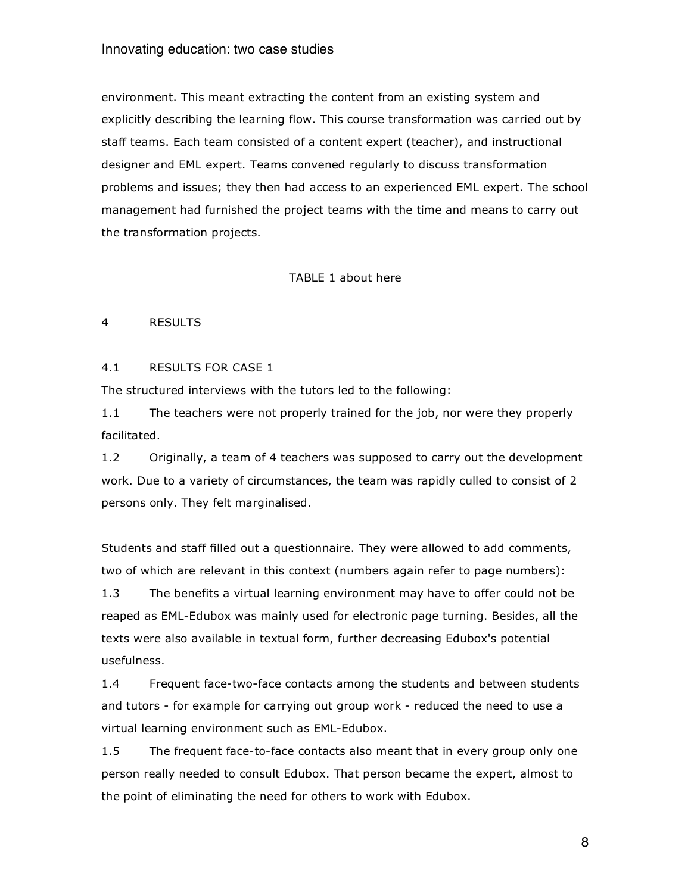environment. This meant extracting the content from an existing system and explicitly describing the learning flow. This course transformation was carried out by staff teams. Each team consisted of a content expert (teacher), and instructional designer and EML expert. Teams convened regularly to discuss transformation problems and issues; they then had access to an experienced EML expert. The school management had furnished the project teams with the time and means to carry out the transformation projects.

#### TABLE 1 about here

### 4 RESULTS

### 4.1 RESULTS FOR CASE 1

The structured interviews with the tutors led to the following:

1.1 The teachers were not properly trained for the job, nor were they properly facilitated.

1.2 Originally, a team of 4 teachers was supposed to carry out the development work. Due to a variety of circumstances, the team was rapidly culled to consist of 2 persons only. They felt marginalised.

Students and staff filled out a questionnaire. They were allowed to add comments, two of which are relevant in this context (numbers again refer to page numbers):

1.3 The benefits a virtual learning environment may have to offer could not be reaped as EML-Edubox was mainly used for electronic page turning. Besides, all the texts were also available in textual form, further decreasing Edubox's potential usefulness.

1.4 Frequent face-two-face contacts among the students and between students and tutors - for example for carrying out group work - reduced the need to use a virtual learning environment such as EML-Edubox.

1.5 The frequent face-to-face contacts also meant that in every group only one person really needed to consult Edubox. That person became the expert, almost to the point of eliminating the need for others to work with Edubox.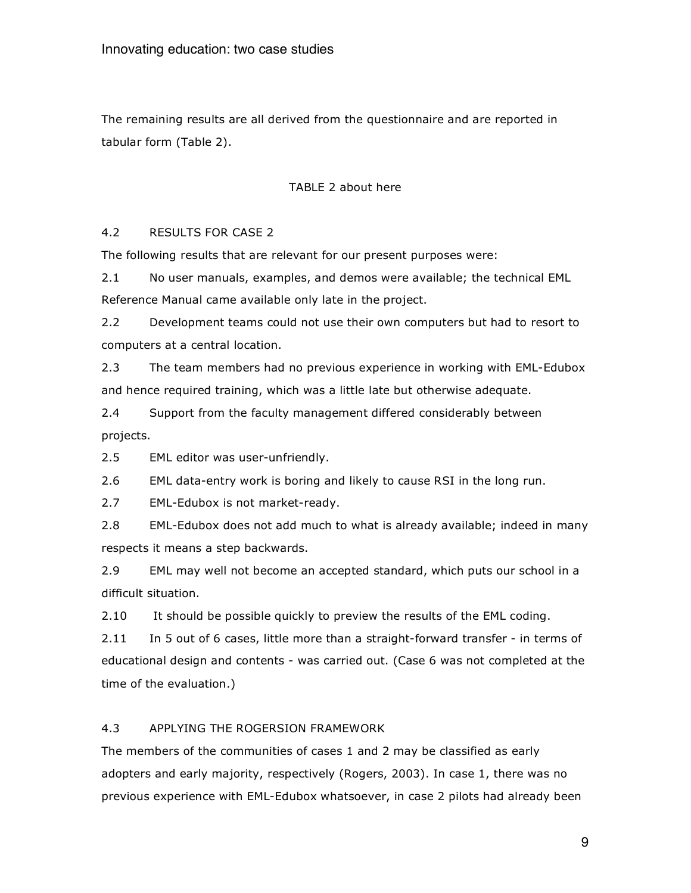The remaining results are all derived from the questionnaire and are reported in tabular form (Table 2).

### TABLE 2 about here

# 4.2 RESULTS FOR CASE 2

The following results that are relevant for our present purposes were:

2.1 No user manuals, examples, and demos were available; the technical EML Reference Manual came available only late in the project.

2.2 Development teams could not use their own computers but had to resort to computers at a central location.

2.3 The team members had no previous experience in working with EML-Edubox and hence required training, which was a little late but otherwise adequate.

2.4 Support from the faculty management differed considerably between projects.

2.5 EML editor was user-unfriendly.

2.6 EML data-entry work is boring and likely to cause RSI in the long run.

2.7 EML-Edubox is not market-ready.

2.8 EML-Edubox does not add much to what is already available; indeed in many respects it means a step backwards.

2.9 EML may well not become an accepted standard, which puts our school in a difficult situation.

2.10 It should be possible quickly to preview the results of the EML coding.

2.11 In 5 out of 6 cases, little more than a straight-forward transfer - in terms of educational design and contents - was carried out. (Case 6 was not completed at the time of the evaluation.)

# 4.3 APPLYING THE ROGERSION FRAMEWORK

The members of the communities of cases 1 and 2 may be classified as early adopters and early majority, respectively (Rogers, 2003). In case 1, there was no previous experience with EML-Edubox whatsoever, in case 2 pilots had already been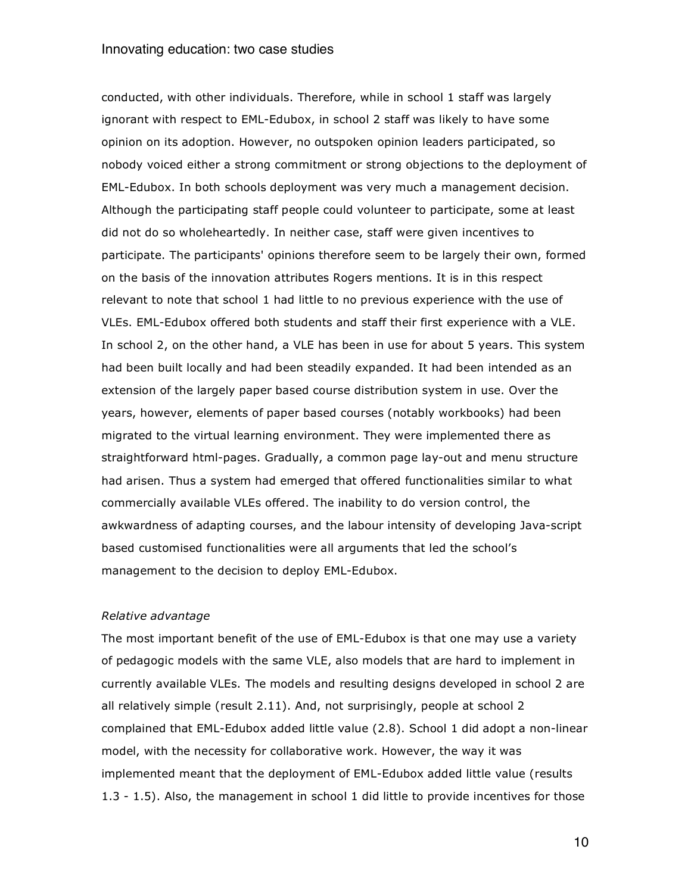conducted, with other individuals. Therefore, while in school 1 staff was largely ignorant with respect to EML-Edubox, in school 2 staff was likely to have some opinion on its adoption. However, no outspoken opinion leaders participated, so nobody voiced either a strong commitment or strong objections to the deployment of EML-Edubox. In both schools deployment was very much a management decision. Although the participating staff people could volunteer to participate, some at least did not do so wholeheartedly. In neither case, staff were given incentives to participate. The participants' opinions therefore seem to be largely their own, formed on the basis of the innovation attributes Rogers mentions. It is in this respect relevant to note that school 1 had little to no previous experience with the use of VLEs. EML-Edubox offered both students and staff their first experience with a VLE. In school 2, on the other hand, a VLE has been in use for about 5 years. This system had been built locally and had been steadily expanded. It had been intended as an extension of the largely paper based course distribution system in use. Over the years, however, elements of paper based courses (notably workbooks) had been migrated to the virtual learning environment. They were implemented there as straightforward html-pages. Gradually, a common page lay-out and menu structure had arisen. Thus a system had emerged that offered functionalities similar to what commercially available VLEs offered. The inability to do version control, the awkwardness of adapting courses, and the labour intensity of developing Java-script based customised functionalities were all arguments that led the school's management to the decision to deploy EML-Edubox.

# *Relative advantage*

The most important benefit of the use of EML-Edubox is that one may use a variety of pedagogic models with the same VLE, also models that are hard to implement in currently available VLEs. The models and resulting designs developed in school 2 are all relatively simple (result 2.11). And, not surprisingly, people at school 2 complained that EML-Edubox added little value (2.8). School 1 did adopt a non-linear model, with the necessity for collaborative work. However, the way it was implemented meant that the deployment of EML-Edubox added little value (results 1.3 - 1.5). Also, the management in school 1 did little to provide incentives for those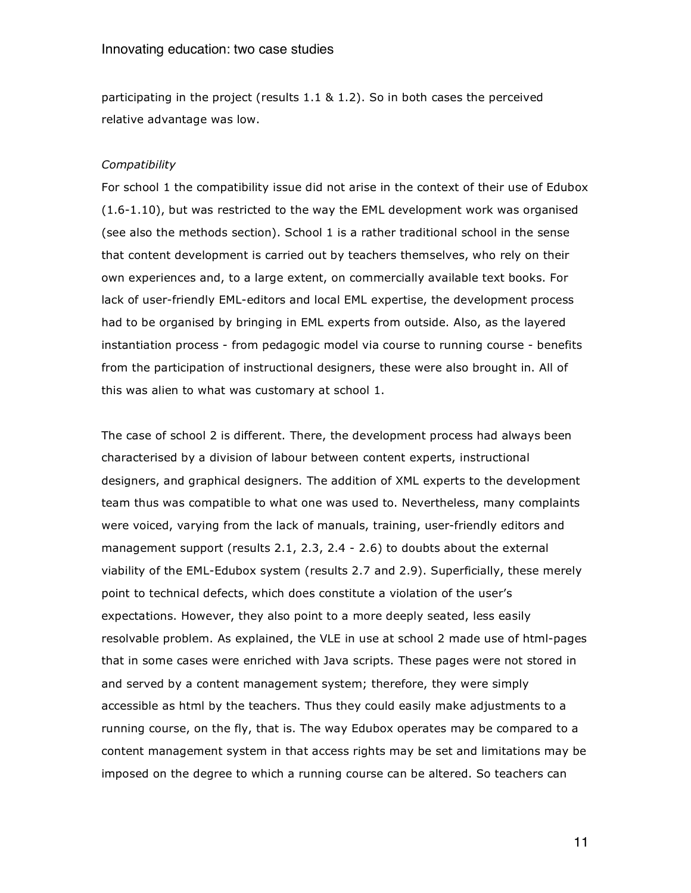participating in the project (results 1.1 & 1.2). So in both cases the perceived relative advantage was low.

### *Compatibility*

For school 1 the compatibility issue did not arise in the context of their use of Edubox (1.6-1.10), but was restricted to the way the EML development work was organised (see also the methods section). School 1 is a rather traditional school in the sense that content development is carried out by teachers themselves, who rely on their own experiences and, to a large extent, on commercially available text books. For lack of user-friendly EML-editors and local EML expertise, the development process had to be organised by bringing in EML experts from outside. Also, as the layered instantiation process - from pedagogic model via course to running course - benefits from the participation of instructional designers, these were also brought in. All of this was alien to what was customary at school 1.

The case of school 2 is different. There, the development process had always been characterised by a division of labour between content experts, instructional designers, and graphical designers. The addition of XML experts to the development team thus was compatible to what one was used to. Nevertheless, many complaints were voiced, varying from the lack of manuals, training, user-friendly editors and management support (results 2.1, 2.3, 2.4 - 2.6) to doubts about the external viability of the EML-Edubox system (results 2.7 and 2.9). Superficially, these merely point to technical defects, which does constitute a violation of the user's expectations. However, they also point to a more deeply seated, less easily resolvable problem. As explained, the VLE in use at school 2 made use of html-pages that in some cases were enriched with Java scripts. These pages were not stored in and served by a content management system; therefore, they were simply accessible as html by the teachers. Thus they could easily make adjustments to a running course, on the fly, that is. The way Edubox operates may be compared to a content management system in that access rights may be set and limitations may be imposed on the degree to which a running course can be altered. So teachers can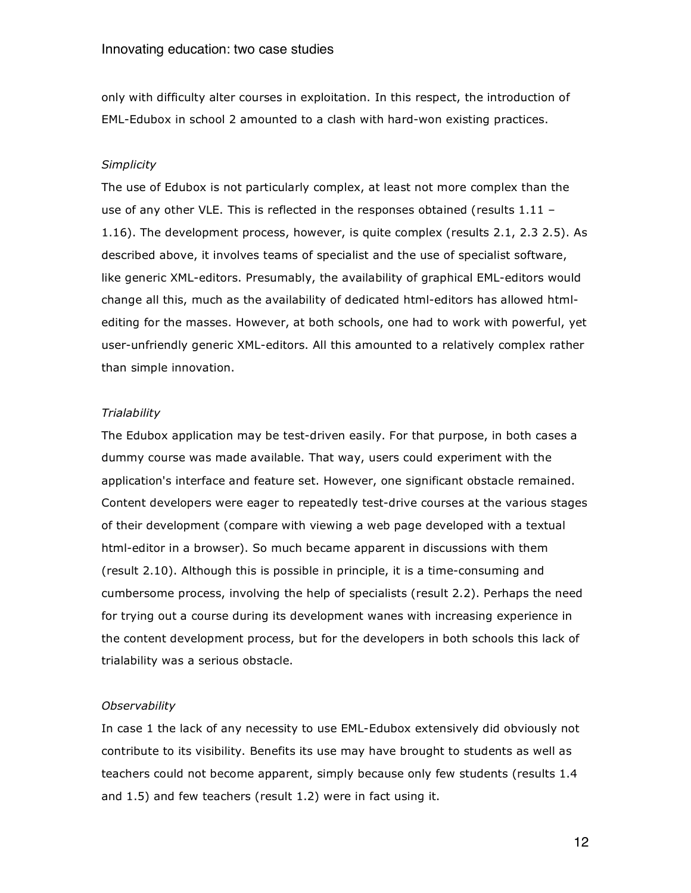only with difficulty alter courses in exploitation. In this respect, the introduction of EML-Edubox in school 2 amounted to a clash with hard-won existing practices.

#### *Simplicity*

The use of Edubox is not particularly complex, at least not more complex than the use of any other VLE. This is reflected in the responses obtained (results  $1.11 -$ 1.16). The development process, however, is quite complex (results 2.1, 2.3 2.5). As described above, it involves teams of specialist and the use of specialist software, like generic XML-editors. Presumably, the availability of graphical EML-editors would change all this, much as the availability of dedicated html-editors has allowed htmlediting for the masses. However, at both schools, one had to work with powerful, yet user-unfriendly generic XML-editors. All this amounted to a relatively complex rather than simple innovation.

### *Trialability*

The Edubox application may be test-driven easily. For that purpose, in both cases a dummy course was made available. That way, users could experiment with the application's interface and feature set. However, one significant obstacle remained. Content developers were eager to repeatedly test-drive courses at the various stages of their development (compare with viewing a web page developed with a textual html-editor in a browser). So much became apparent in discussions with them (result 2.10). Although this is possible in principle, it is a time-consuming and cumbersome process, involving the help of specialists (result 2.2). Perhaps the need for trying out a course during its development wanes with increasing experience in the content development process, but for the developers in both schools this lack of trialability was a serious obstacle.

#### *Observability*

In case 1 the lack of any necessity to use EML-Edubox extensively did obviously not contribute to its visibility. Benefits its use may have brought to students as well as teachers could not become apparent, simply because only few students (results 1.4 and 1.5) and few teachers (result 1.2) were in fact using it.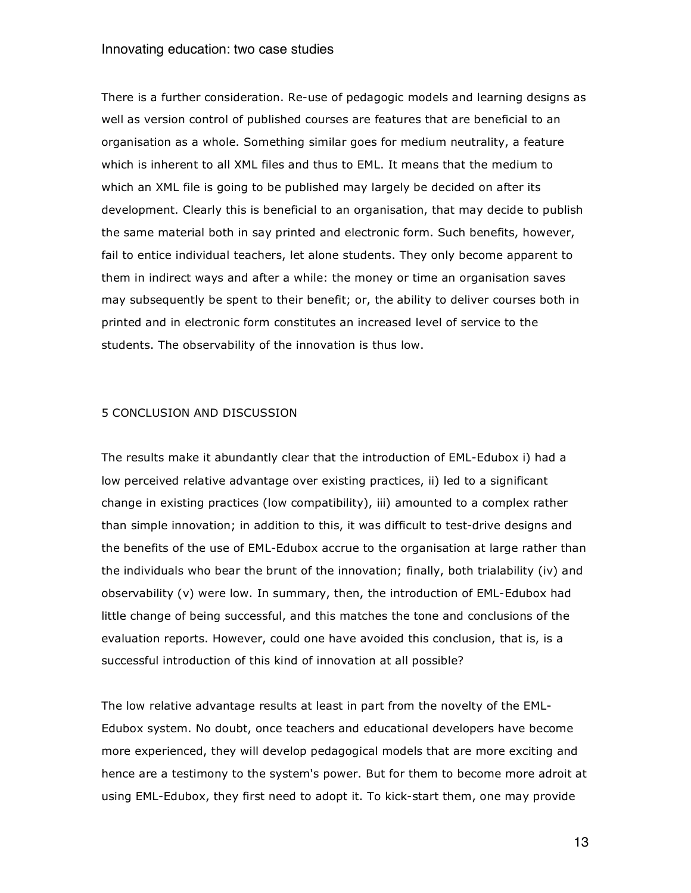There is a further consideration. Re-use of pedagogic models and learning designs as well as version control of published courses are features that are beneficial to an organisation as a whole. Something similar goes for medium neutrality, a feature which is inherent to all XML files and thus to EML. It means that the medium to which an XML file is going to be published may largely be decided on after its development. Clearly this is beneficial to an organisation, that may decide to publish the same material both in say printed and electronic form. Such benefits, however, fail to entice individual teachers, let alone students. They only become apparent to them in indirect ways and after a while: the money or time an organisation saves may subsequently be spent to their benefit; or, the ability to deliver courses both in printed and in electronic form constitutes an increased level of service to the students. The observability of the innovation is thus low.

#### 5 CONCLUSION AND DISCUSSION

The results make it abundantly clear that the introduction of EML-Edubox i) had a low perceived relative advantage over existing practices, ii) led to a significant change in existing practices (low compatibility), iii) amounted to a complex rather than simple innovation; in addition to this, it was difficult to test-drive designs and the benefits of the use of EML-Edubox accrue to the organisation at large rather than the individuals who bear the brunt of the innovation; finally, both trialability (iv) and observability (v) were low. In summary, then, the introduction of EML-Edubox had little change of being successful, and this matches the tone and conclusions of the evaluation reports. However, could one have avoided this conclusion, that is, is a successful introduction of this kind of innovation at all possible?

The low relative advantage results at least in part from the novelty of the EML-Edubox system. No doubt, once teachers and educational developers have become more experienced, they will develop pedagogical models that are more exciting and hence are a testimony to the system's power. But for them to become more adroit at using EML-Edubox, they first need to adopt it. To kick-start them, one may provide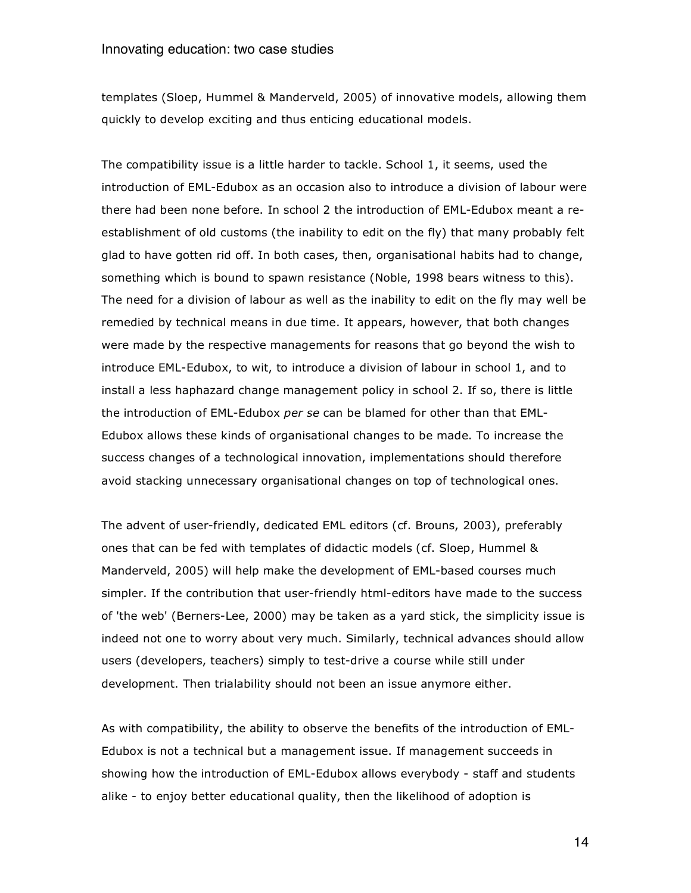templates (Sloep, Hummel & Manderveld, 2005) of innovative models, allowing them quickly to develop exciting and thus enticing educational models.

The compatibility issue is a little harder to tackle. School 1, it seems, used the introduction of EML-Edubox as an occasion also to introduce a division of labour were there had been none before. In school 2 the introduction of EML-Edubox meant a reestablishment of old customs (the inability to edit on the fly) that many probably felt glad to have gotten rid off. In both cases, then, organisational habits had to change, something which is bound to spawn resistance (Noble, 1998 bears witness to this). The need for a division of labour as well as the inability to edit on the fly may well be remedied by technical means in due time. It appears, however, that both changes were made by the respective managements for reasons that go beyond the wish to introduce EML-Edubox, to wit, to introduce a division of labour in school 1, and to install a less haphazard change management policy in school 2. If so, there is little the introduction of EML-Edubox *per se* can be blamed for other than that EML-Edubox allows these kinds of organisational changes to be made. To increase the success changes of a technological innovation, implementations should therefore avoid stacking unnecessary organisational changes on top of technological ones.

The advent of user-friendly, dedicated EML editors (cf. Brouns, 2003), preferably ones that can be fed with templates of didactic models (cf. Sloep, Hummel & Manderveld, 2005) will help make the development of EML-based courses much simpler. If the contribution that user-friendly html-editors have made to the success of 'the web' (Berners-Lee, 2000) may be taken as a yard stick, the simplicity issue is indeed not one to worry about very much. Similarly, technical advances should allow users (developers, teachers) simply to test-drive a course while still under development. Then trialability should not been an issue anymore either.

As with compatibility, the ability to observe the benefits of the introduction of EML-Edubox is not a technical but a management issue. If management succeeds in showing how the introduction of EML-Edubox allows everybody - staff and students alike - to enjoy better educational quality, then the likelihood of adoption is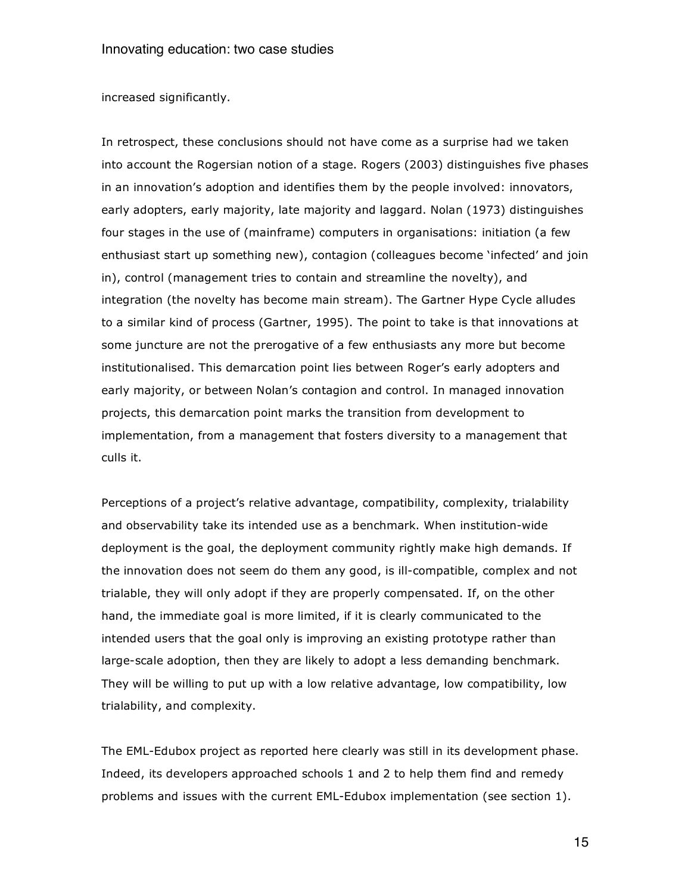#### increased significantly.

In retrospect, these conclusions should not have come as a surprise had we taken into account the Rogersian notion of a stage. Rogers (2003) distinguishes five phases in an innovation's adoption and identifies them by the people involved: innovators, early adopters, early majority, late majority and laggard. Nolan (1973) distinguishes four stages in the use of (mainframe) computers in organisations: initiation (a few enthusiast start up something new), contagion (colleagues become 'infected' and join in), control (management tries to contain and streamline the novelty), and integration (the novelty has become main stream). The Gartner Hype Cycle alludes to a similar kind of process (Gartner, 1995). The point to take is that innovations at some juncture are not the prerogative of a few enthusiasts any more but become institutionalised. This demarcation point lies between Roger's early adopters and early majority, or between Nolan's contagion and control. In managed innovation projects, this demarcation point marks the transition from development to implementation, from a management that fosters diversity to a management that culls it.

Perceptions of a project's relative advantage, compatibility, complexity, trialability and observability take its intended use as a benchmark. When institution-wide deployment is the goal, the deployment community rightly make high demands. If the innovation does not seem do them any good, is ill-compatible, complex and not trialable, they will only adopt if they are properly compensated. If, on the other hand, the immediate goal is more limited, if it is clearly communicated to the intended users that the goal only is improving an existing prototype rather than large-scale adoption, then they are likely to adopt a less demanding benchmark. They will be willing to put up with a low relative advantage, low compatibility, low trialability, and complexity.

The EML-Edubox project as reported here clearly was still in its development phase. Indeed, its developers approached schools 1 and 2 to help them find and remedy problems and issues with the current EML-Edubox implementation (see section 1).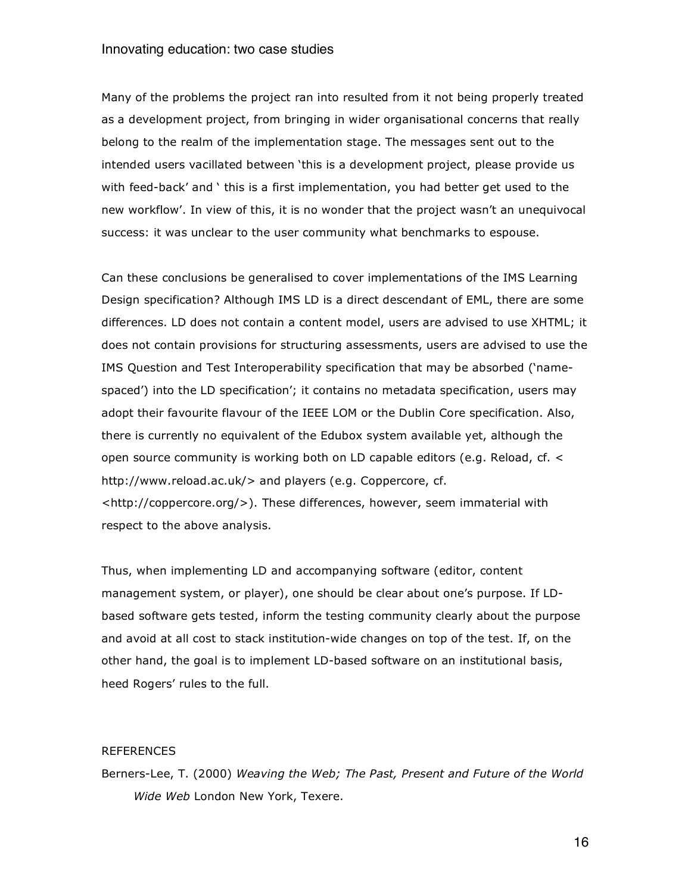Many of the problems the project ran into resulted from it not being properly treated as a development project, from bringing in wider organisational concerns that really belong to the realm of the implementation stage. The messages sent out to the intended users vacillated between 'this is a development project, please provide us with feed-back' and ' this is a first implementation, you had better get used to the new workflow'. In view of this, it is no wonder that the project wasn't an unequivocal success: it was unclear to the user community what benchmarks to espouse.

Can these conclusions be generalised to cover implementations of the IMS Learning Design specification? Although IMS LD is a direct descendant of EML, there are some differences. LD does not contain a content model, users are advised to use XHTML; it does not contain provisions for structuring assessments, users are advised to use the IMS Question and Test Interoperability specification that may be absorbed ('namespaced') into the LD specification'; it contains no metadata specification, users may adopt their favourite flavour of the IEEE LOM or the Dublin Core specification. Also, there is currently no equivalent of the Edubox system available yet, although the open source community is working both on LD capable editors (e.g. Reload, cf. < http://www.reload.ac.uk/> and players (e.g. Coppercore, cf. <http://coppercore.org/>). These differences, however, seem immaterial with respect to the above analysis.

Thus, when implementing LD and accompanying software (editor, content management system, or player), one should be clear about one's purpose. If LDbased software gets tested, inform the testing community clearly about the purpose and avoid at all cost to stack institution-wide changes on top of the test. If, on the other hand, the goal is to implement LD-based software on an institutional basis, heed Rogers' rules to the full.

### REFERENCES

Berners-Lee, T. (2000) *Weaving the Web; The Past, Present and Future of the World Wide Web* London New York, Texere.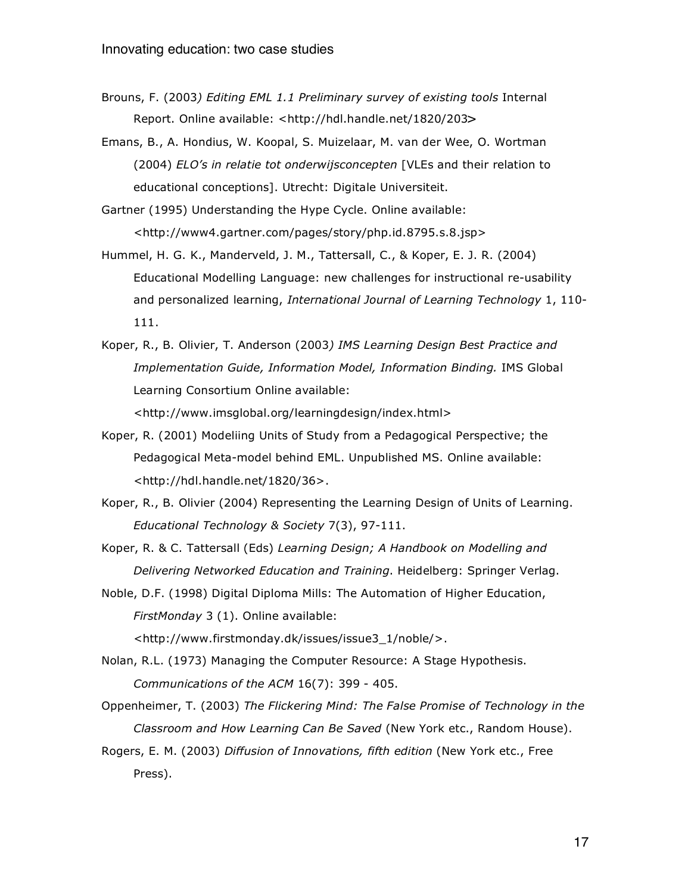Brouns, F. (2003*) Editing EML 1.1 Preliminary survey of existing tools* Internal Report. Online available: <http://hdl.handle.net/1820/203>

Emans, B., A. Hondius, W. Koopal, S. Muizelaar, M. van der Wee, O. Wortman (2004) *ELO's in relatie tot onderwijsconcepten* [VLEs and their relation to educational conceptions]. Utrecht: Digitale Universiteit.

Gartner (1995) Understanding the Hype Cycle. Online available: <http://www4.gartner.com/pages/story/php.id.8795.s.8.jsp>

- Hummel, H. G. K., Manderveld, J. M., Tattersall, C., & Koper, E. J. R. (2004) Educational Modelling Language: new challenges for instructional re-usability and personalized learning, *International Journal of Learning Technology* 1, 110- 111.
- Koper, R., B. Olivier, T. Anderson (2003*) IMS Learning Design Best Practice and Implementation Guide, Information Model, Information Binding.* IMS Global Learning Consortium Online available: <http://www.imsglobal.org/learningdesign/index.html>

- Koper, R. (2001) Modeliing Units of Study from a Pedagogical Perspective; the Pedagogical Meta-model behind EML. Unpublished MS. Online available: <http://hdl.handle.net/1820/36>.
- Koper, R., B. Olivier (2004) Representing the Learning Design of Units of Learning. *Educational Technology & Society* 7(3), 97-111.

Koper, R. & C. Tattersall (Eds) *Learning Design; A Handbook on Modelling and Delivering Networked Education and Training*. Heidelberg: Springer Verlag.

Noble, D.F. (1998) Digital Diploma Mills: The Automation of Higher Education, *FirstMonday* 3 (1). Online available:

<http://www.firstmonday.dk/issues/issue3\_1/noble/>.

Nolan, R.L. (1973) Managing the Computer Resource: A Stage Hypothesis. *Communications of the ACM* 16(7): 399 - 405.

Oppenheimer, T. (2003) *The Flickering Mind: The False Promise of Technology in the Classroom and How Learning Can Be Saved* (New York etc., Random House).

Rogers, E. M. (2003) *Diffusion of Innovations, fifth edition* (New York etc., Free Press).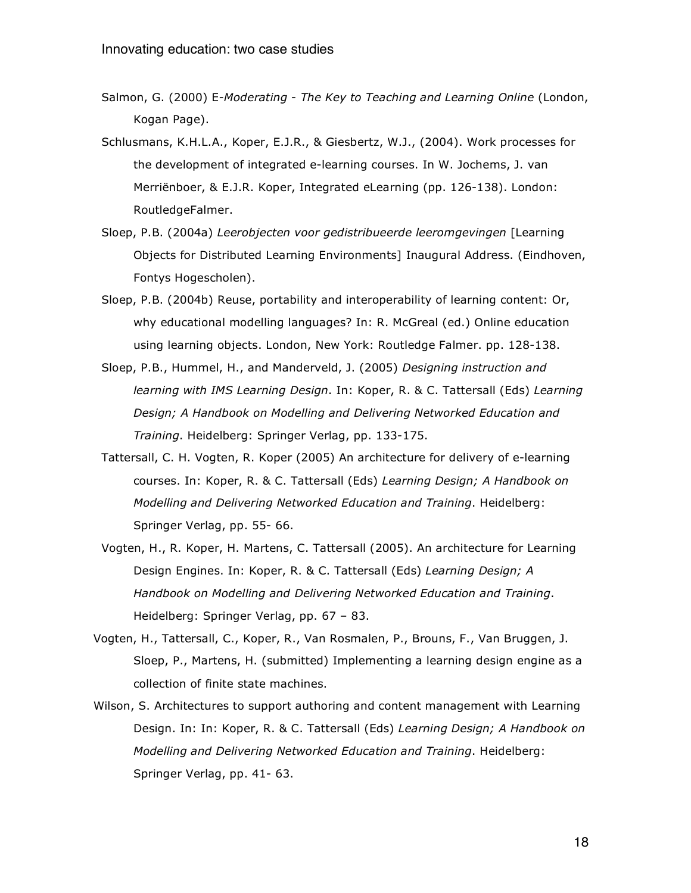- Salmon, G. (2000) E*-Moderating - The Key to Teaching and Learning Online* (London, Kogan Page).
- Schlusmans, K.H.L.A., Koper, E.J.R., & Giesbertz, W.J., (2004). Work processes for the development of integrated e-learning courses. In W. Jochems, J. van Merriënboer, & E.J.R. Koper, Integrated eLearning (pp. 126-138). London: RoutledgeFalmer.
- Sloep, P.B. (2004a) *Leerobjecten voor gedistribueerde leeromgevingen* [Learning Objects for Distributed Learning Environments] Inaugural Address. (Eindhoven, Fontys Hogescholen).
- Sloep, P.B. (2004b) Reuse, portability and interoperability of learning content: Or, why educational modelling languages? In: R. McGreal (ed.) Online education using learning objects. London, New York: Routledge Falmer. pp. 128-138.
- Sloep, P.B., Hummel, H., and Manderveld, J. (2005) *Designing instruction and learning with IMS Learning Design*. In: Koper, R. & C. Tattersall (Eds) *Learning Design; A Handbook on Modelling and Delivering Networked Education and Training*. Heidelberg: Springer Verlag, pp. 133-175.
- Tattersall, C. H. Vogten, R. Koper (2005) An architecture for delivery of e-learning courses. In: Koper, R. & C. Tattersall (Eds) *Learning Design; A Handbook on Modelling and Delivering Networked Education and Training*. Heidelberg: Springer Verlag, pp. 55- 66.
- Vogten, H., R. Koper, H. Martens, C. Tattersall (2005). An architecture for Learning Design Engines. In: Koper, R. & C. Tattersall (Eds) *Learning Design; A Handbook on Modelling and Delivering Networked Education and Training*. Heidelberg: Springer Verlag, pp. 67 – 83.
- Vogten, H., Tattersall, C., Koper, R., Van Rosmalen, P., Brouns, F., Van Bruggen, J. Sloep, P., Martens, H. (submitted) Implementing a learning design engine as a collection of finite state machines.
- Wilson, S. Architectures to support authoring and content management with Learning Design. In: In: Koper, R. & C. Tattersall (Eds) *Learning Design; A Handbook on Modelling and Delivering Networked Education and Training*. Heidelberg: Springer Verlag, pp. 41- 63.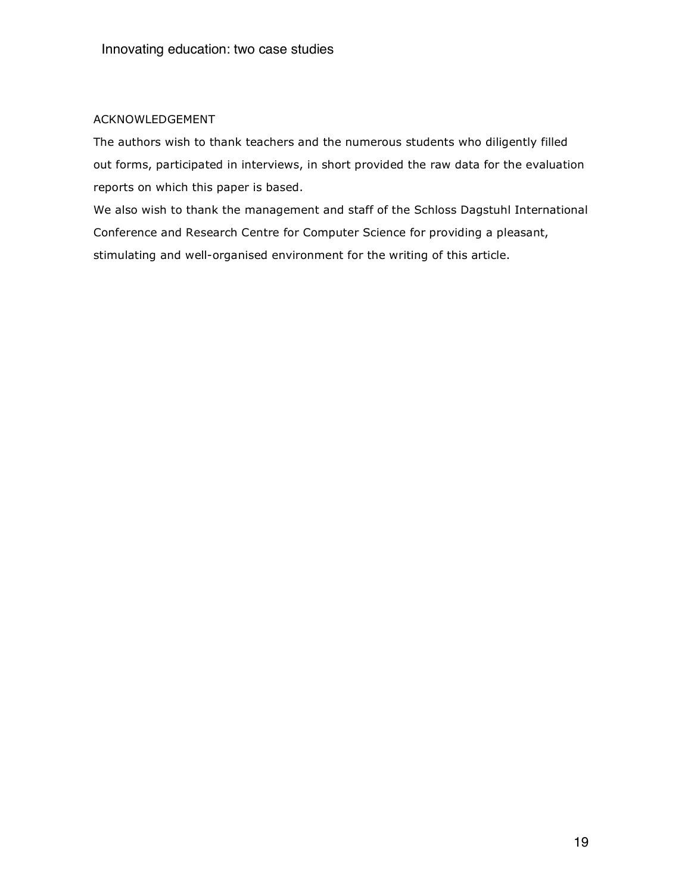# ACKNOWLEDGEMENT

The authors wish to thank teachers and the numerous students who diligently filled out forms, participated in interviews, in short provided the raw data for the evaluation reports on which this paper is based.

We also wish to thank the management and staff of the Schloss Dagstuhl International Conference and Research Centre for Computer Science for providing a pleasant, stimulating and well-organised environment for the writing of this article.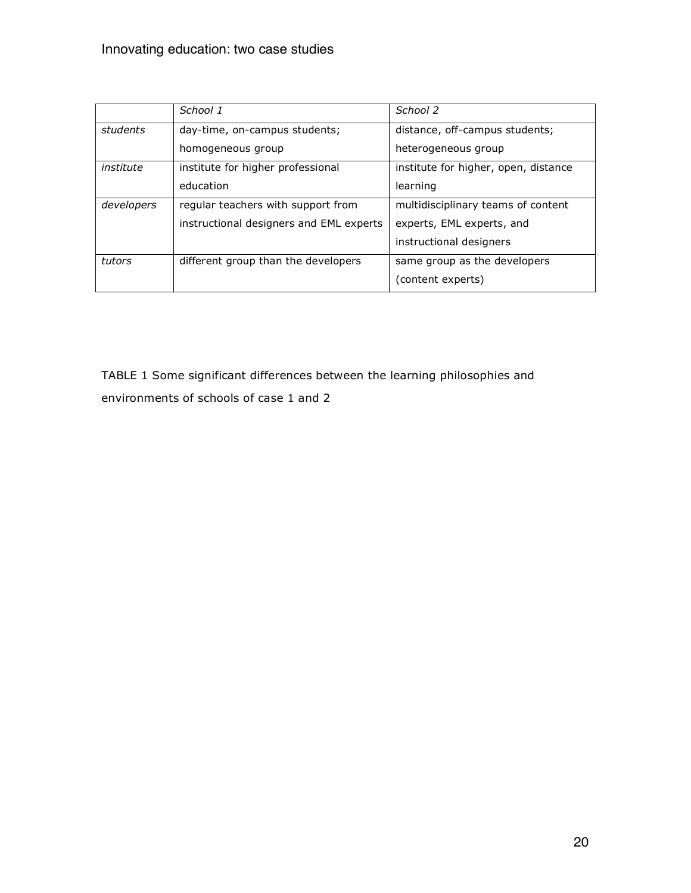|            | School 1                                | School 2                             |  |  |
|------------|-----------------------------------------|--------------------------------------|--|--|
| students   | day-time, on-campus students;           | distance, off-campus students;       |  |  |
|            | homogeneous group                       | heterogeneous group                  |  |  |
| institute  | institute for higher professional       | institute for higher, open, distance |  |  |
|            | education                               | learning                             |  |  |
| developers | regular teachers with support from      | multidisciplinary teams of content   |  |  |
|            | instructional designers and EML experts | experts, EML experts, and            |  |  |
|            |                                         | instructional designers              |  |  |
| tutors     | different group than the developers     | same group as the developers         |  |  |
|            |                                         | (content experts)                    |  |  |

TABLE 1 Some significant differences between the learning philosophies and environments of schools of case 1 and 2